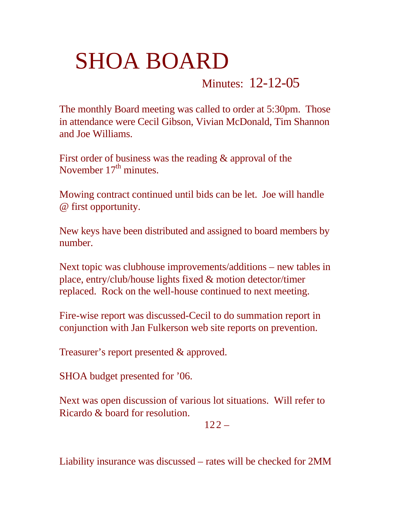## SHOA BOARD

## Minutes: 12-12-05

The monthly Board meeting was called to order at 5:30pm. Those in attendance were Cecil Gibson, Vivian McDonald, Tim Shannon and Joe Williams.

First order of business was the reading & approval of the November  $17<sup>th</sup>$  minutes.

Mowing contract continued until bids can be let. Joe will handle @ first opportunity.

New keys have been distributed and assigned to board members by number.

Next topic was clubhouse improvements/additions – new tables in place, entry/club/house lights fixed & motion detector/timer replaced. Rock on the well-house continued to next meeting.

Fire-wise report was discussed-Cecil to do summation report in conjunction with Jan Fulkerson web site reports on prevention.

Treasurer's report presented & approved.

SHOA budget presented for '06.

Next was open discussion of various lot situations. Will refer to Ricardo & board for resolution.

 $122 -$ 

Liability insurance was discussed – rates will be checked for 2MM